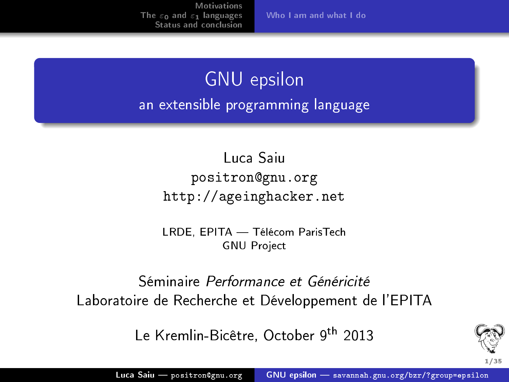[Who I am and what I do](#page-1-0)

### GNU epsilon an extensible programming language

#### Luca Saiu positron@gnu.org <http://ageinghacker.net>

LRDE, EPITA — Télécom ParisTech GNU Project

Séminaire Performance et Généricité Laboratoire de Recherche et Développement de l'EPITA

Le Kremlin-Bicêtre, October 9<sup>th</sup> 2013

<span id="page-0-0"></span>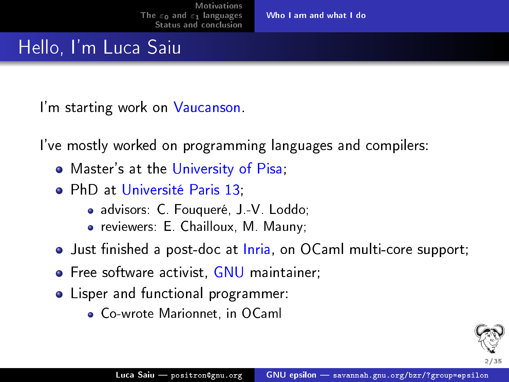[Who I am and what I do](#page-1-0)

#### Hello, I'm Luca Saiu

I'm starting work on Vaucanson.

I've mostly worked on programming languages and compilers:

- Master's at the University of Pisa;
- **•** PhD at Université Paris 13;
	- advisors: C. Fouqueré, J.-V. Loddo;
	- reviewers: E. Chailloux, M. Mauny;
- Just finished a post-doc at Inria, on OCaml multi-core support;
- **•** Free software activist, GNU maintainer;
- Lisper and functional programmer:
	- Co-wrote Marionnet, in OCaml

<span id="page-1-0"></span>2/35.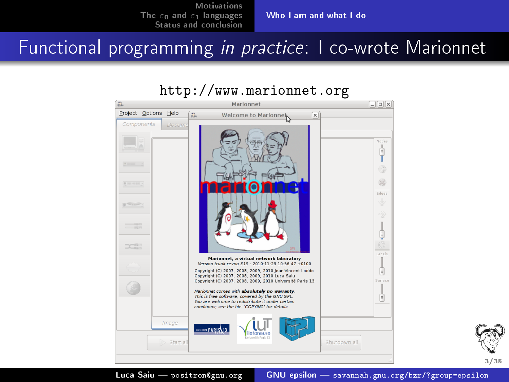[Who I am and what I do](#page-1-0)

Functional programming in practice: I co-wrote Marionnet

## <http://www.marionnet.org>





Luca Saiu - positron@gnu.org GNU epsilon - [savannah.gnu.org/bzr/?group=epsilon](#page-0-0)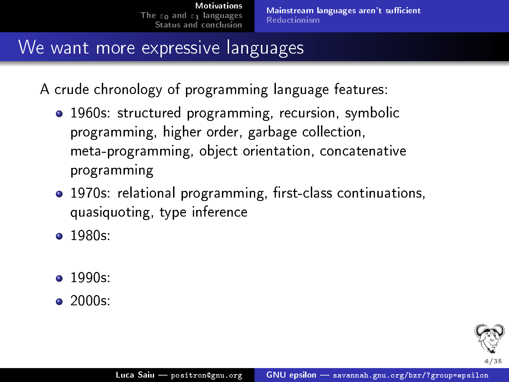#### We want more expressive languages

A crude chronology of programming language features:

- 1960s: structured programming, recursion, symbolic programming, higher order, garbage collection, meta-programming, object orientation, concatenative programming
- 1970s: relational programming, first-class continuations, quasiquoting, type inference
- 1980s:
- $\bullet$  1990s:
- $\bullet$  2000s:

<span id="page-3-0"></span>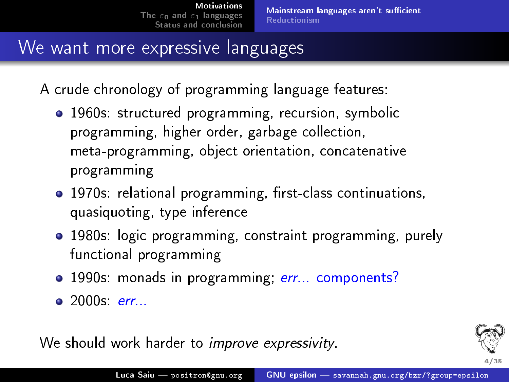#### We want more expressive languages

A crude chronology of programming language features:

- 1960s: structured programming, recursion, symbolic programming, higher order, garbage collection, meta-programming, object orientation, concatenative programming
- 1970s: relational programming, first-class continuations, quasiquoting, type inference
- 1980s: logic programming, constraint programming, purely functional programming
- 1990s: monads in programming; err... components?
- 2000s: err...

We should work harder to *improve expressivity*.

<span id="page-4-0"></span>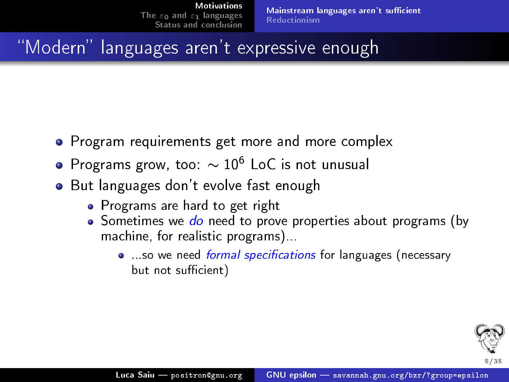Mainstream languages aren't sufficient [Reductionism](#page-7-0)

## "Modern" languages aren't expressive enough

- Program requirements get more and more complex
- $\bullet$  Programs grow, too:  $\sim 10^6$  LoC is not unusual
- **•** But languages don't evolve fast enough
	- Programs are hard to get right
	- Sometimes we do need to prove properties about programs (by machine, for realistic programs)...
		- so we need formal specifications for languages (necessary but not sufficient)

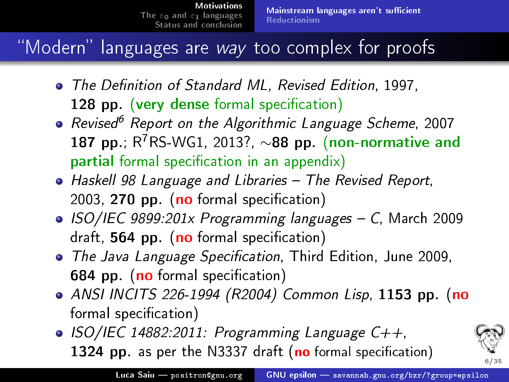## "Modern" languages are way too complex for proofs

- The Definition of Standard ML, Revised Edition, 1997, 128 pp. (very dense formal specification)
- Revised<sup>6</sup> Report on the Algorithmic Language Scheme, 2007 187 pp.;  $R^7RS$ -WG1, 2013?, ~88 pp. (non-normative and partial formal specification in an appendix)
- Haskell 98 Language and Libraries The Revised Report, 2003, 270 pp. (no formal specification)
- ISO/IEC 9899:201x Programming languages C, March 2009 draft,  $564$  pp. (no formal specification)
- The Java Language Specification, Third Edition, June 2009, 684 pp. (no formal specification)
- ANSI INCITS 226-1994 (R2004) Common Lisp, 1153 pp. (no formal specification)
- $\bullet$  ISO/IEC 14882:2011: Programming Language C++, 1324 pp. as per the N3337 draft (no formal specification)

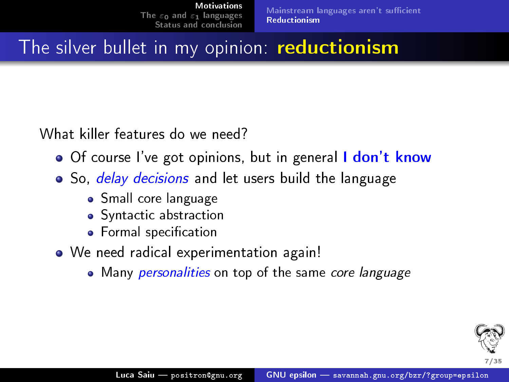Mainstream languages aren't sufficient [Reductionism](#page-7-0)

## The silver bullet in my opinion: reductionism

What killer features do we need?

- Of course I've got opinions, but in general I don't know
- So, *delay decisions* and let users build the language
	- **•** Small core language
	- **•** Syntactic abstraction
	- Formal specification
- We need radical experimentation again!
	- Many *personalities* on top of the same core language

<span id="page-7-0"></span>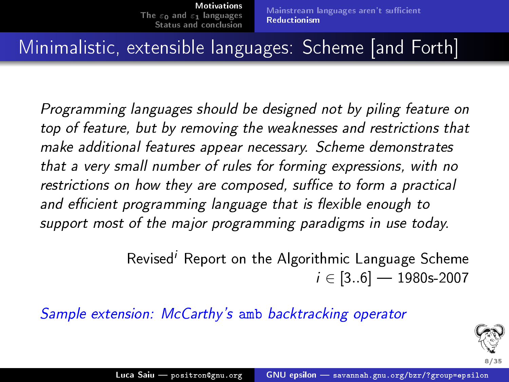#### Minimalistic, extensible languages: Scheme [and Forth]

Programming languages should be designed not by piling feature on top of feature, but by removing the weaknesses and restrictions that make additional features appear necessary. Scheme demonstrates that a very small number of rules for forming expressions, with no restrictions on how they are composed, suffice to form a practical and efficient programming language that is flexible enough to support most of the major programming paradigms in use today.

> Revised<sup>i</sup> Report on the Algorithmic Language Scheme  $i \in [3..6]$  — 1980s-2007

Sample extension: McCarthy's amb backtracking operator

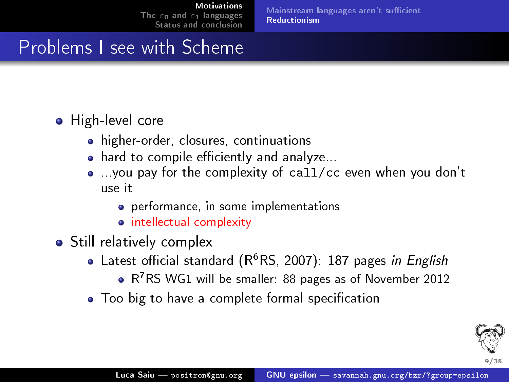Mainstream languages aren't sufficient [Reductionism](#page-7-0)

#### Problems I see with Scheme

#### **•** High-level core

- higher-order, closures, continuations
- $\bullet$  hard to compile efficiently and analyze...
- ...you pay for the complexity of call/cc even when you don't use it
	- o performance, in some implementations
	- **•** intellectual complexity
- Still relatively complex
	- Latest official standard  $(R^6RS, 2007)$ : 187 pages in English
		- R<sup>7</sup>RS WG1 will be smaller: 88 pages as of November 2012
	- Too big to have a complete formal specification

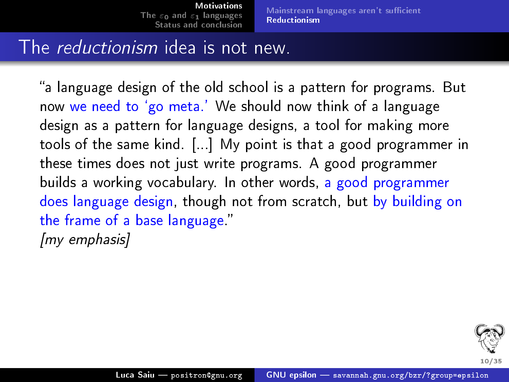Mainstream languages aren't sufficient [Reductionism](#page-7-0)

#### The reductionism idea is not new.

"a language design of the old school is a pattern for programs. But now we need to `go meta.' We should now think of a language design as a pattern for language designs, a tool for making more tools of the same kind. [...] My point is that a good programmer in these times does not just write programs. A good programmer builds a working vocabulary. In other words, a good programmer does language design, though not from scratch, but by building on the frame of a base language." [my emphasis] .

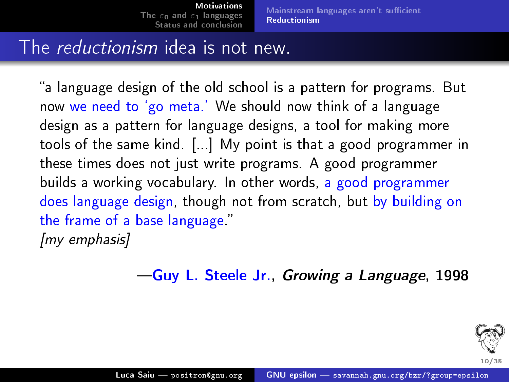Mainstream languages aren't sufficient [Reductionism](#page-7-0)

#### The reductionism idea is not new.

"a language design of the old school is a pattern for programs. But now we need to 'go meta.' We should now think of a language design as a pattern for language designs, a tool for making more tools of the same kind. [...] My point is that a good programmer in these times does not just write programs. A good programmer builds a working vocabulary. In other words, a good programmer does language design, though not from scratch, but by building on the frame of a base language." [my emphasis] .

Guy L. Steele Jr., Growing a Language, 1998

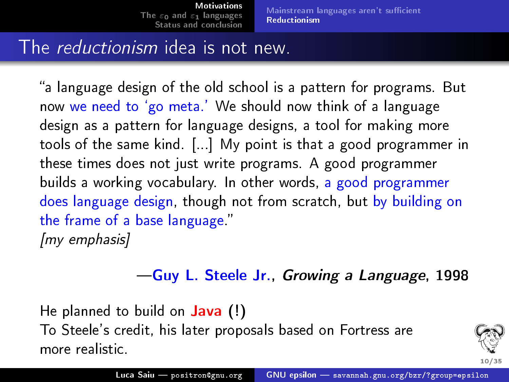Mainstream languages aren't sufficient [Reductionism](#page-7-0)

#### The *reductionism* idea is not new.

"a language design of the old school is a pattern for programs. But now we need to 'go meta.' We should now think of a language design as a pattern for language designs, a tool for making more tools of the same kind. [...] My point is that a good programmer in these times does not just write programs. A good programmer builds a working vocabulary. In other words, a good programmer does language design, though not from scratch, but by building on the frame of a base language." [my emphasis] .

#### Guy L. Steele Jr., Growing a Language, 1998

He planned to build on **Java** (!) To Steele's credit, his later proposals based on Fortress are more realistic.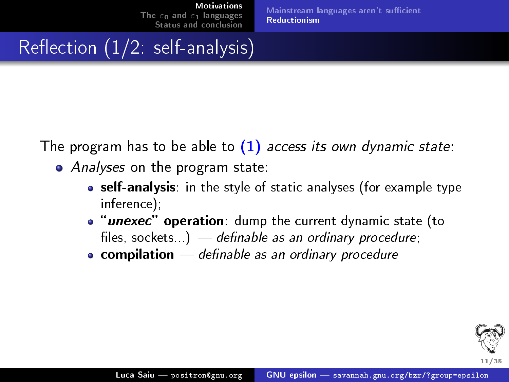Mainstream languages aren't sufficient [Reductionism](#page-7-0)

 $Reflection (1/2: self-analysis)$ 

The program has to be able to  $(1)$  access its own dynamic state:

- *Analyses* on the program state:
	- self-analysis: in the style of static analyses (for example type inference);
	- **.** "unexec" operation: dump the current dynamic state (to files, sockets...)  $-$  definable as an ordinary procedure;
	- $\bullet$  compilation  $-$  definable as an ordinary procedure

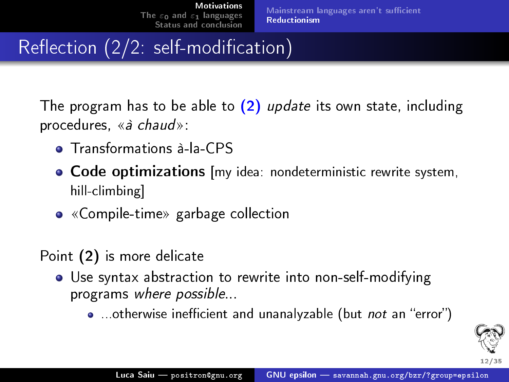## Reflection  $(\overline{2}/2)$ : self-modification)

The program has to be able to  $(2)$  update its own state, including procedures,  $\langle \hat{a} \rangle$  chauds:

- **•** Transformations à-la-CPS
- Code optimizations [my idea: nondeterministic rewrite system, hill-climbing]
- «Compile-time» garbage collection

Point (2) is more delicate

- Use syntax abstraction to rewrite into non-self-modifying programs where possible...
	- ...otherwise inefficient and unanalyzable (but not an "error")

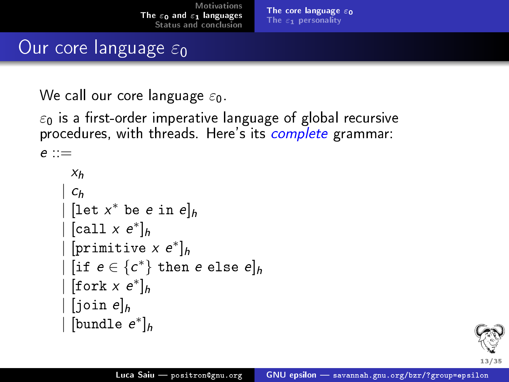[The core language](#page-16-0)  $\varepsilon_0$ The  $\varepsilon_1$  [personality](#page-20-0)

#### Our core language  $\varepsilon_0$

We call our core language  $\varepsilon_0$ .

 $\varepsilon_0$  is a first-order imperative language of global recursive procedures, with threads. Here's its complete grammar:

```
e ::=
```

```
X_hc_h\mid [let x^* be e in e]_h\mid [call x e^*]_h\mid [primitive x e^*]_h\mid [if e \in \{c^*\} then e else e]_h\mid [fork x e^*]_h[ioin e]_h\mid [bundle e^*]_h
```
<span id="page-15-0"></span>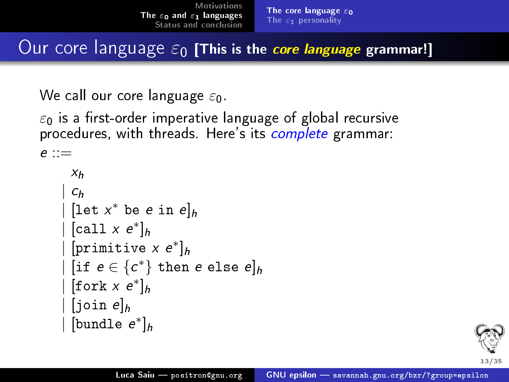Our core language  $\varepsilon_0$  [This is the core language grammar!]

We call our core language  $\varepsilon_0$ .

 $\varepsilon_0$  is a first-order imperative language of global recursive procedures, with threads. Here's its complete grammar:

```
e ::=
```

```
X<sub>h</sub>c<sub>h</sub>\mid [let x^* be e in e]_h\mid [call x e^*]_h\mid [primitive x e^*]_h\mid [if e \in \{c^*\} then e else e]_h\mid [fork x e^*]_h[ioin e]_h\mid [bundle e^*]_h
```
<span id="page-16-0"></span>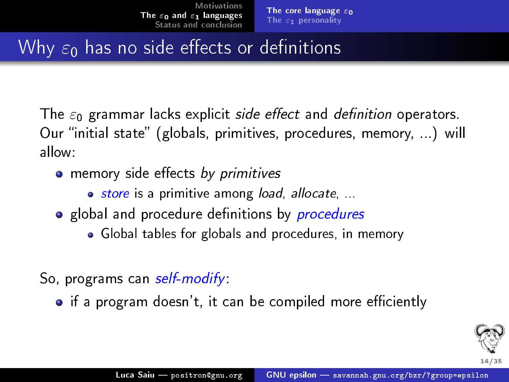## Why  $\varepsilon_0$  has no side effects or definitions

The  $\varepsilon_0$  grammar lacks explicit side effect and definition operators. Our "initial state" (globals, primitives, procedures, memory, ...) will allow:

- memory side effects by primitives
	- store is a primitive among load, allocate, ...
- global and procedure definitions by *procedures* 
	- Global tables for globals and procedures, in memory
- So, programs can *self-modify*:
	- $\bullet$  if a program doesn't, it can be compiled more efficiently

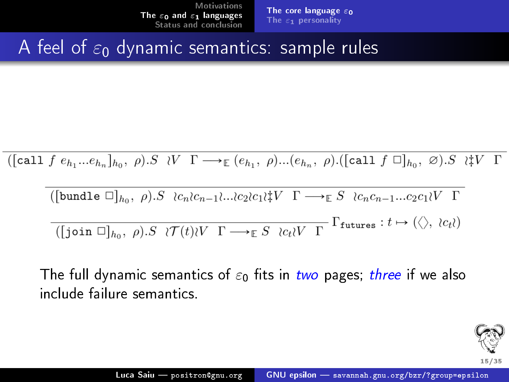[The core language](#page-15-0)  $\varepsilon_0$ The  $\varepsilon_1$  [personality](#page-20-0)

#### A feel of  $\varepsilon_0$  dynamic semantics: sample rules

$$
([\text{call } f e_{h_1}...e_{h_n}]_{h_0}, \rho).S \quad \vee \quad \Gamma \longrightarrow_{\mathbb{E}} (e_{h_1}, \rho)...(e_{h_n}, \rho).([\text{call } f \Box]_{h_0}, \emptyset).S \quad \vee \quad \Gamma
$$

$$
\begin{aligned}\n\text{([bundle } \Box]_{h_0}, \ \rho). S \ \wr c_n c_{n-1} \dots c_2 c_1 \wr V \ \Gamma \longrightarrow_{\mathbb{E}} S \ \wr c_n c_{n-1} \dots c_2 c_1 \wr V \ \Gamma \\
\hline\n\text{([join } \Box]_{h_0}, \ \rho). S \ \wr \mathcal{T}(t) \wr V \ \Gamma \longrightarrow_{\mathbb{E}} S \ \wr c_t \wr V \ \Gamma \end{aligned}
$$
\n
$$
\begin{aligned}\n\text{[Function } \Box]_{h_0}, \ \rho). S \ \wr \mathcal{T}(t) \wr V \ \Gamma \longrightarrow_{\mathbb{E}} S \ \wr c_t \wr V \ \Gamma\n\end{aligned}
$$

The full dynamic semantics of  $\varepsilon_0$  fits in two pages; three if we also include failure semantics.

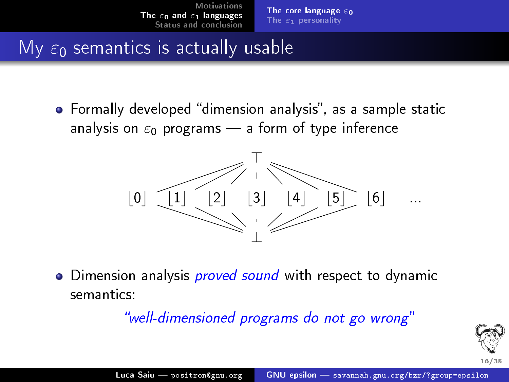#### My  $\varepsilon_0$  semantics is actually usable

**•** Formally developed "dimension analysis", as a sample static analysis on  $\varepsilon_0$  programs – a form of type inference



• Dimension analysis *proved sound* with respect to dynamic semantics:

well-dimensioned programs do not go wrong

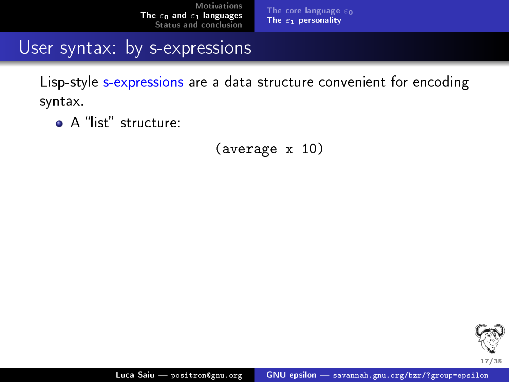[The core language](#page-15-0)  $\varepsilon_0$ The  $\varepsilon_1$  [personality](#page-22-0)

User syntax: by s-expressions

Lisp-style s-expressions are a data structure convenient for encoding syntax.

A "list" structure:

(average x 10)

<span id="page-20-0"></span>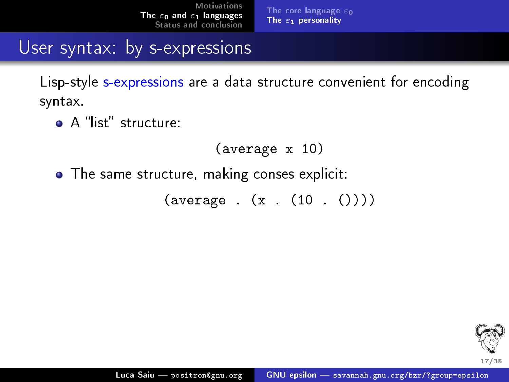[The core language](#page-15-0)  $\varepsilon_0$ The  $\varepsilon_1$  [personality](#page-22-0)

User syntax: by s-expressions

Lisp-style s-expressions are a data structure convenient for encoding syntax.

 $\bullet$  A "list" structure:

```
(average x 10)
```
• The same structure, making conses explicit:

 $(\text{average} : (x : (10 : ()))$ 

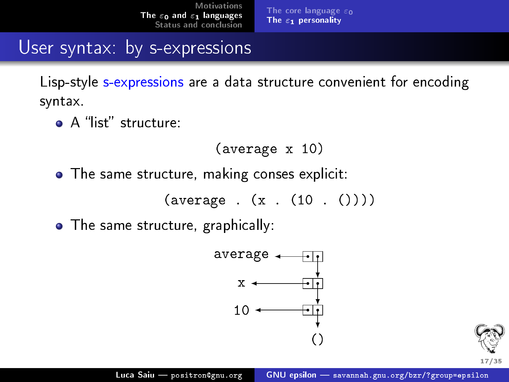[The core language](#page-15-0)  $\varepsilon_0$ The  $\varepsilon_1$  [personality](#page-20-0)

User syntax: by s-expressions

Lisp-style s-expressions are a data structure convenient for encoding syntax.

 $\bullet$  A "list" structure:

```
(average x 10)
```
• The same structure, making conses explicit:

 $(\text{average} : (x : (10 : ()))$ 

• The same structure, graphically:



<span id="page-22-0"></span>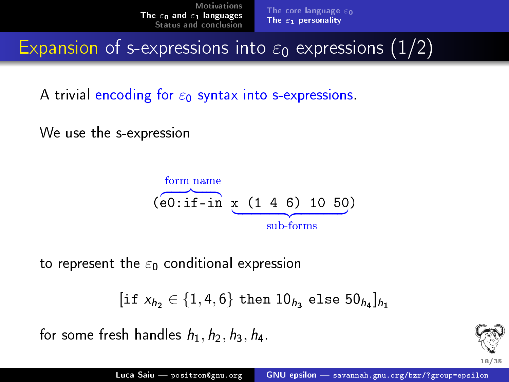[The core language](#page-15-0)  $\varepsilon_0$ The  $\varepsilon_1$  [personality](#page-20-0)

Expansion of s-expressions into  $\varepsilon_0$  expressions (1/2)

A trivial encoding for  $\varepsilon_0$  syntax into s-expressions.

We use the s-expression

form name\n
$$
(\overbrace{e0:if-in}^{form \text{ name}} \underline{x \ (1 \ 4 \ 6) \ 10 \ 50})
$$
\nsub-forms

to represent the  $\varepsilon_0$  conditional expression

```
[\text{if } x_{h_2} \in \{1,4,6\} \text{ then } 10_{h_3} \text{ else } 50_{h_4}]_{h_1}
```
for some fresh handles  $h_1$ ,  $h_2$ ,  $h_3$ ,  $h_4$ .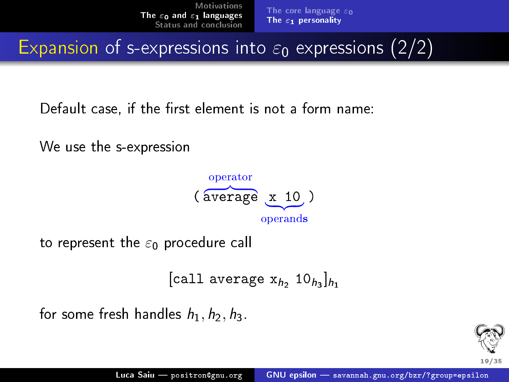Expansion of s-expressions into  $\varepsilon_0$  expressions (2/2)

Default case, if the first element is not a form name:

We use the s-expression



to represent the  $\varepsilon_0$  procedure call

```
[call average \mathrm{x}_{h_2} 10_{h_3}]_{h_1}
```
for some fresh handles  $h_1$ ,  $h_2$ ,  $h_3$ .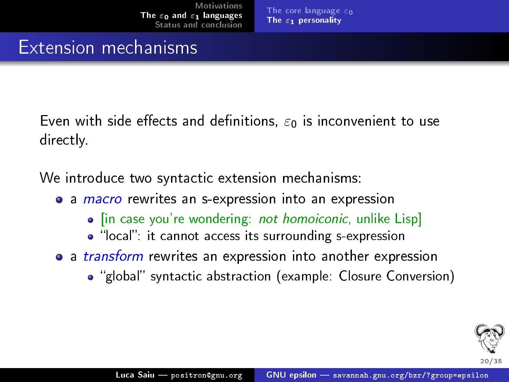#### Extension mechanisms

Even with side effects and definitions,  $\varepsilon_0$  is inconvenient to use directly.

We introduce two syntactic extension mechanisms:

- a *macro* rewrites an s-expression into an expression
	- In case you're wondering: not homoiconic, unlike Lisp]
	- "local": it cannot access its surrounding s-expression
- a *transform* rewrites an expression into another expression
	- "global" syntactic abstraction (example: Closure Conversion)

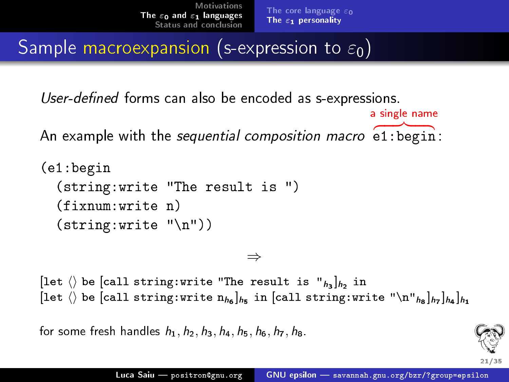a single name

Sample macroexpansion (s-expression to  $\varepsilon_0$ )

User-defined forms can also be encoded as s-expressions.

An example with the sequential composition macro e1:begin :

```
(e1:begin
  (string:write "The result is ")
  (fixnum:write n)
  (string:write "\\n")
```
⇒

[let  $\langle \rangle$  be [call string:write "The result is " $_{h_3}]_{h_2}$  in [let  $\langle \rangle$  be [call string:write  $\mathbf{n}_{h_6}]_{h_5}$  in [call string:write " $\setminus$ n" $_{h_8}]_{h_7}]_{h_4}]_{h_1}$ 

for some fresh handles  $h_1$ ,  $h_2$ ,  $h_3$ ,  $h_4$ ,  $h_5$ ,  $h_6$ ,  $h_7$ ,  $h_8$ .

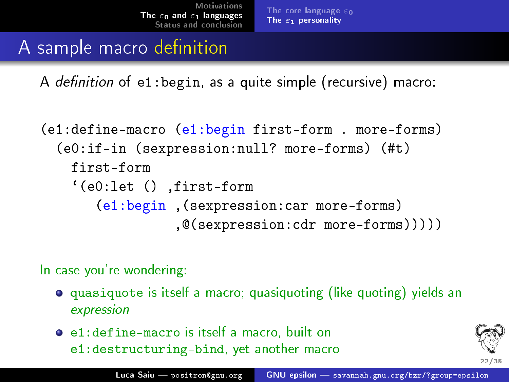### A sample macro definition

A definition of  $e1$ : begin, as a quite simple (recursive) macro:

```
(e1:define-macro (e1:begin first-form . more-forms)
  (e0:if-in (sexpression:null? more-forms) (#t)
   first-form
    `(e0:let () ,first-form
       (e1:begin ,(sexpression:car more-forms)
                 ,@(sexpression:cdr more-forms)))))
```
In case you're wondering:

- **•** quasiquote is itself a macro; quasiquoting (like quoting) yields an expression
- e1:define-macro is itself a macro, built on e1:destructuring-bind, yet another macro

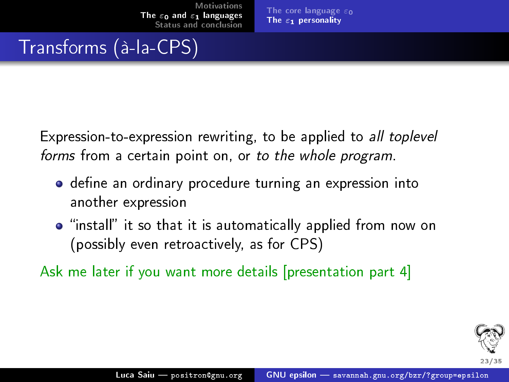## Transforms (à-la-CPS)

Expression-to-expression rewriting, to be applied to all toplevel forms from a certain point on, or to the whole program.

- $\bullet$  define an ordinary procedure turning an expression into another expression
- **•** "install" it so that it is automatically applied from now on (possibly even retroactively, as for CPS)

Ask me later if you want more details [presentation part [4\]](#page-43-0)

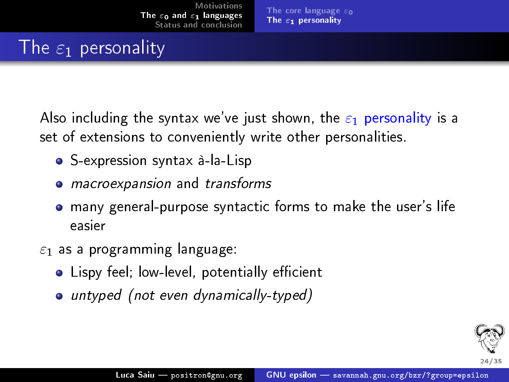## The  $\varepsilon_1$  personality

Also including the syntax we've just shown, the  $\varepsilon_1$  personality is a set of extensions to conveniently write other personalities.

- S-expression syntax à-la-Lisp
- macroexpansion and transforms
- many general-purpose syntactic forms to make the user's life easier
- $\varepsilon_1$  as a programming language:
	- Lispy feel; low-level, potentially efficient
	- untyped (not even dynamically-typed)

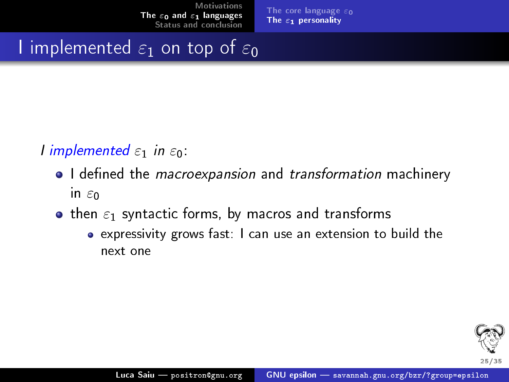[The core language](#page-15-0)  $\varepsilon_0$ The  $\varepsilon_1$  [personality](#page-20-0)

I implemented  $\varepsilon_1$  on top of  $\varepsilon_0$ 

I implemented  $\varepsilon_1$  in  $\varepsilon_0$ .

- I defined the *macroexpansion* and *transformation* machinery in  $\varepsilon_0$
- **•** then  $\varepsilon_1$  syntactic forms, by macros and transforms
	- expressivity grows fast: I can use an extension to build the next one

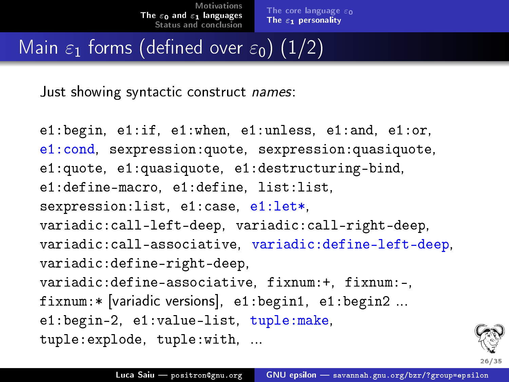[The core language](#page-15-0)  $\varepsilon_0$ The  $\varepsilon_1$  [personality](#page-20-0)

## Main  $\varepsilon_1$  forms (defined over  $\varepsilon_0$ ) (1/2)

Just showing syntactic construct *names*:

```
e1:begin, e1:if, e1:when, e1:unless, e1:and, e1:or,
e1:cond, sexpression:quote, sexpression:quasiquote,
e1:quote, e1:quasiquote, e1:destructuring-bind,
e1:define-macro, e1:define, list:list,
sexpression:list, e1:case, e1:let*,
variadic:call-left-deep, variadic:call-right-deep,
variadic:call-associative, variadic:define-left-deep,
variadic:define-right-deep,
variadic:define-associative, fixnum:+, fixnum:-,
fixnum:* [variadic versions], e1:begin1, e1:begin2 ...
e1:begin-2, e1:value-list, tuple:make,
tuple:explode, tuple:with, ...
```
26/35.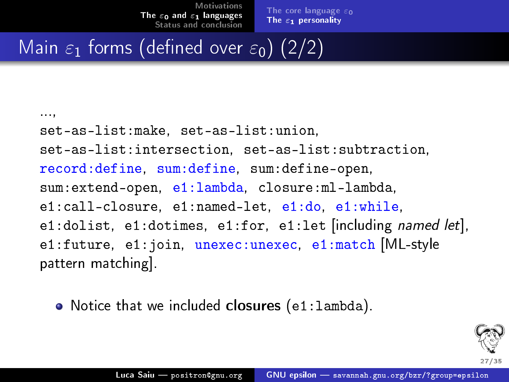[The core language](#page-15-0)  $\varepsilon_0$ The  $\varepsilon_1$  [personality](#page-20-0)

## Main  $\varepsilon_1$  forms (defined over  $\varepsilon_0$ ) (2/2)

...,

set-as-list:make, set-as-list:union, set-as-list:intersection, set-as-list:subtraction, record:define, sum:define, sum:define-open, sum:extend-open, e1:lambda, closure:ml-lambda, e1:call-closure, e1:named-let, e1:do, e1:while, e1:dolist, e1:dotimes, e1:for, e1:let [including named let], e1:future, e1:join, unexec:unexec, e1:match [ML-style pattern matching].

• Notice that we included closures (e1:1ambda).

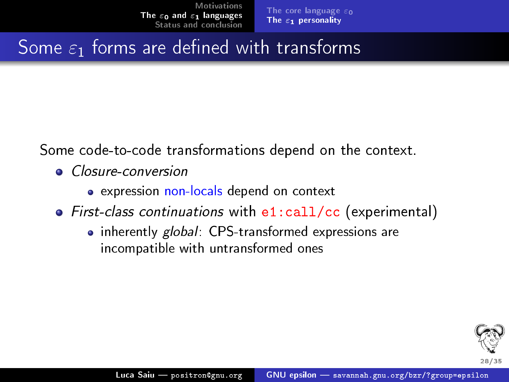## Some  $\varepsilon_1$  forms are defined with transforms

Some code-to-code transformations depend on the context.

- Closure-conversion
	- expression non-locals depend on context
- First-class continuations with e1:call/cc (experimental)
	- inherently global: CPS-transformed expressions are incompatible with untransformed ones

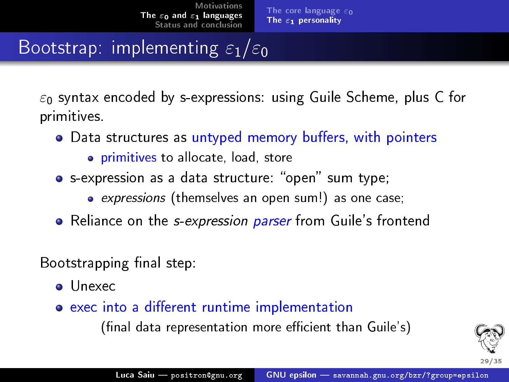## Bootstrap: implementing  $\varepsilon_1/\varepsilon_0$

 $\varepsilon_0$  syntax encoded by s-expressions: using Guile Scheme, plus C for primitives.

- Data structures as untyped memory buffers, with pointers
	- **•** primitives to allocate, load, store
- s-expression as a data structure: "open" sum type;
	- expressions (themselves an open sum!) as one case;
- Reliance on the *s-expression parser* from Guile's frontend

Bootstrapping final step:

- Unexec
- exec into a different runtime implementation (final data representation more efficient than Guile's)

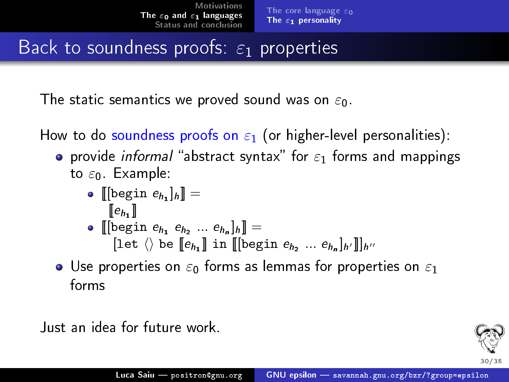## Back to soundness proofs:  $\varepsilon_1$  properties

The static semantics we proved sound was on  $\varepsilon_0$ .

How to do soundness proofs on  $\varepsilon_1$  (or higher-level personalities):

- **•** provide *informal* "abstract syntax" for  $\varepsilon_1$  forms and mappings to  $\varepsilon_0$ . Example:
	- $\llbracket [\text{begin } e_{h_1}]_{h} \rrbracket =$  $[\![e_{h_1}]\!]$
	- $\llbracket \left[\text{begin } e_{h_1} \ e_{h_2} \ ... \ e_{h_n} \right]_h \rrbracket =$ [let  $\langle\rangle$  be  $[\![e_{h_1}]\!]$  in  $[\![$  [begin  $e_{h_2} \ ... \ e_{h_n}]_{h'}]\!]_{h''}$
- Use properties on  $\varepsilon_0$  forms as lemmas for properties on  $\varepsilon_1$ forms

Just an idea for future work.

30/35.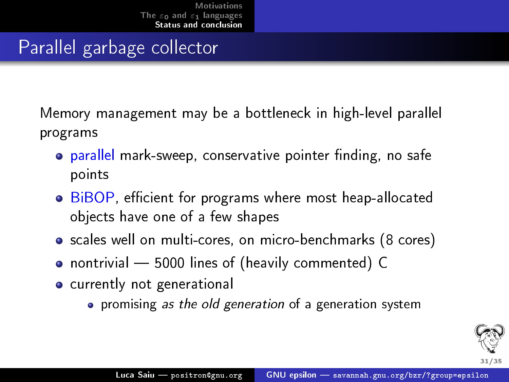#### Parallel garbage collector

Memory management may be a bottleneck in high-level parallel programs

- **parallel mark-sweep, conservative pointer finding, no safe** points
- BiBOP, efficient for programs where most heap-allocated objects have one of a few shapes
- scales well on multi-cores, on micro-benchmarks (8 cores)
- nontrivial 5000 lines of (heavily commented) C
- currently not generational
	- **•** promising as the old generation of a generation system

<span id="page-36-0"></span>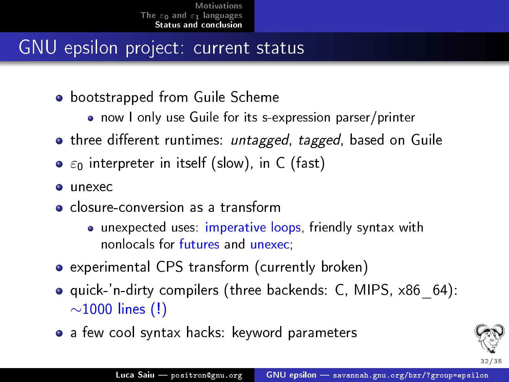#### GNU epsilon project: current status

- **•** bootstrapped from Guile Scheme
	- now I only use Guile for its s-expression parser/printer
- **•** three different runtimes: *untagged*, tagged, based on Guile
- $\bullet$   $\varepsilon_0$  interpreter in itself (slow), in C (fast)
- $\bullet$  unexec
- **o** closure-conversion as a transform
	- **•** unexpected uses: imperative loops, friendly syntax with nonlocals for futures and unexec;
- experimental CPS transform (currently broken)
- **o** quick-'n-dirty compilers (three backends: C, MIPS, x86, 64): ∼1000 lines (!)
- a few cool syntax hacks: keyword parameters

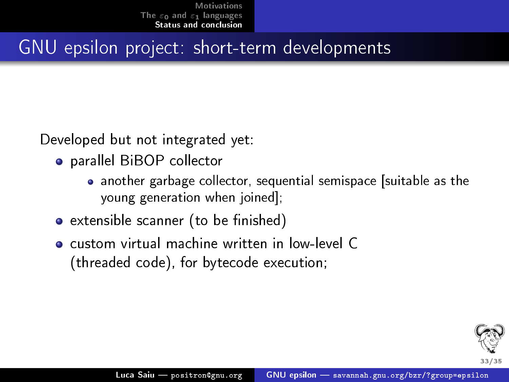#### GNU epsilon project: short-term developments

Developed but not integrated yet:

- parallel BiBOP collector
	- another garbage collector, sequential semispace [suitable as the young generation when joined];
- extensible scanner (to be finished)
- custom virtual machine written in low-level C (threaded code), for bytecode execution;

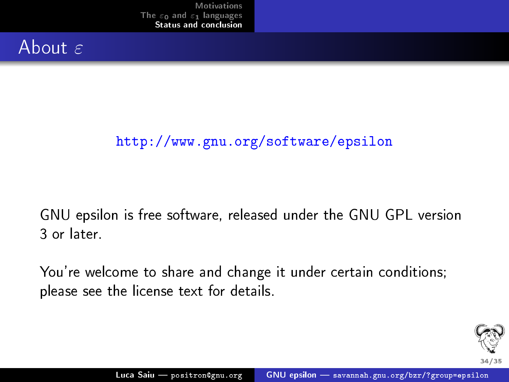#### About  $\varepsilon$

#### <http://www.gnu.org/software/epsilon>

GNU epsilon is free software, released under the GNU GPL version 3 or later. .

You're welcome to share and change it under certain conditions; please see the license text for details.

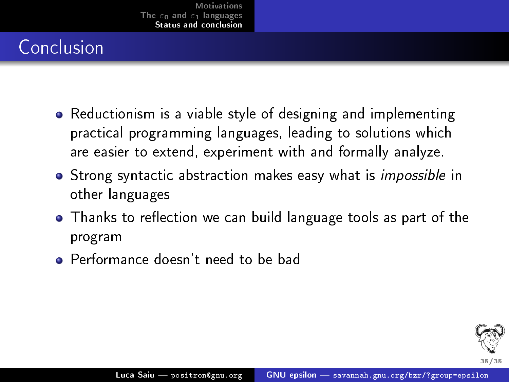## Conclusion

- Reductionism is a viable style of designing and implementing practical programming languages, leading to solutions which are easier to extend, experiment with and formally analyze.
- **•** Strong syntactic abstraction makes easy what is *impossible* in other languages
- Thanks to reflection we can build language tools as part of the program
- **•** Performance doesn't need to be bad

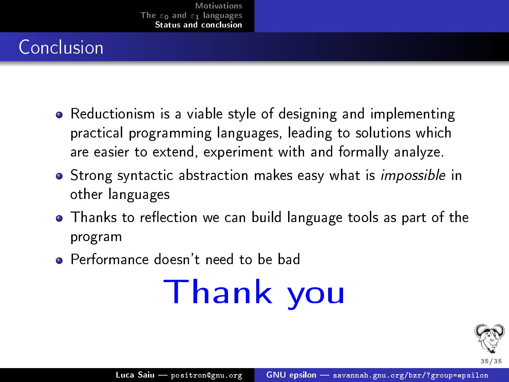## Conclusion

- Reductionism is a viable style of designing and implementing practical programming languages, leading to solutions which are easier to extend, experiment with and formally analyze.
- **•** Strong syntactic abstraction makes easy what is *impossible* in other languages
- Thanks to reflection we can build language tools as part of the program
- Performance doesn't need to be bad

# Thank you

<span id="page-41-0"></span>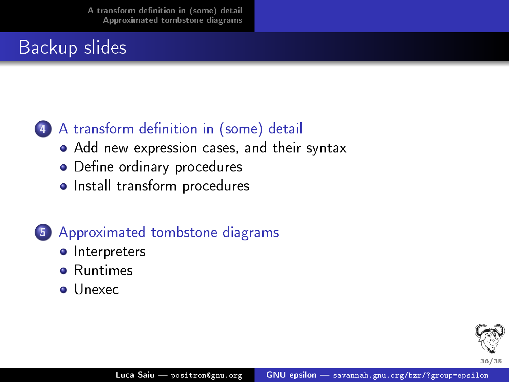#### Backup slides

#### (4) A transform definition in (some) detail

- [Add new expression cases, and their syntax](#page-43-1)
- Define ordinary procedures
- [Install transform procedures](#page-47-0)

#### 5 [Approximated tombstone diagrams](#page-48-0)

- **o** [Interpreters](#page-48-0)
- **•** [Runtimes](#page-49-0)
- o [Unexec](#page-50-0)

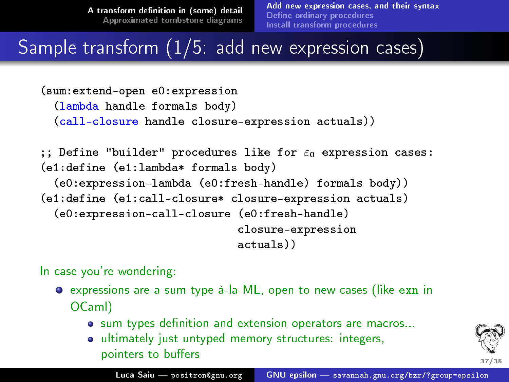[Add new expression cases, and their syntax](#page-43-1) Define ordinary procedures [Install transform procedures](#page-47-0)

Sample transform (1/5: add new expression cases)

```
(sum:extend-open e0:expression
  (lambda handle formals body)
  (call-closure handle closure-expression actuals))
;; Define "builder" procedures like for \varepsilon_0 expression cases:
(e1:define (e1:lambda* formals body)
```

```
(e0:expression-lambda (e0:fresh-handle) formals body))
(e1:define (e1:call-closure* closure-expression actuals)
 (e0:expression-call-closure (e0:fresh-handle)
                              closure-expression
                              actuals))
```
In case you're wondering:

- expressions are a sum type à-la-ML, open to new cases (like exn in OCaml)
	- $\bullet$  sum types definition and extension operators are macros...
	- ultimately just untyped memory structures: integers, pointers to buffers

<span id="page-43-1"></span>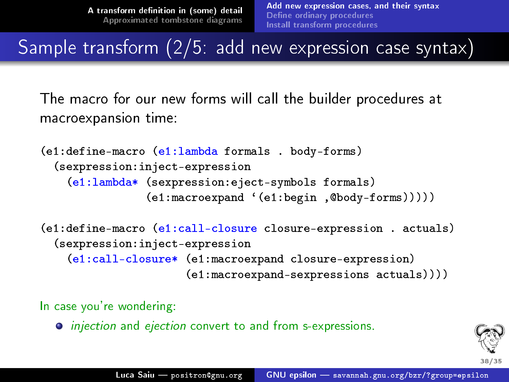Sample transform (2/5: add new expression case syntax)

The macro for our new forms will call the builder procedures at macroexpansion time:

```
(e1:define-macro (e1:lambda formals . body-forms)
 (sexpression:inject-expression
    (e1:lambda* (sexpression:eject-symbols formals)
                (e1:macroexpand `(e1:begin ,@body-forms)))))
```

```
(e1:define-macro (e1:call-closure closure-expression . actuals)
 (sexpression:inject-expression
    (e1:call-closure* (e1:macroexpand closure-expression)
                      (e1:macroexpand-sexpressions actuals))))
```
In case you're wondering:

 $\bullet$  injection and ejection convert to and from s-expressions.

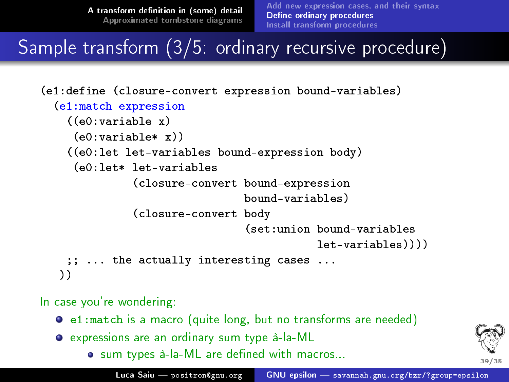[Add new expression cases, and their syntax](#page-43-1) Define ordinary procedures [Install transform procedures](#page-47-0)

#### Sample transform (3/5: ordinary recursive procedure)

```
(e1:define (closure-convert expression bound-variables)
 (e1:match expression
    ((e0:variable x)
    (e0:variable* x))
    ((e0:let let-variables bound-expression body)
    (e0:let* let-variables
              (closure-convert bound-expression
                               bound-variables)
              (closure-convert body
                                (set:union bound-variables
                                           let-variables))))
   ;; ... the actually interesting cases ...
  ))
```
In case you're wondering:

- e1:match is a macro (quite long, but no transforms are needed)
- <span id="page-45-0"></span>expressions are an ordinary sum type à-la-ML
	- . sum types à-la-ML are defined with macros...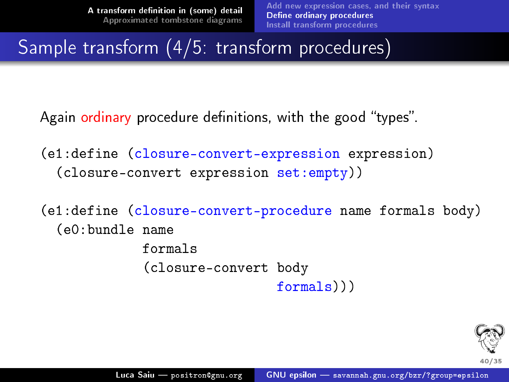### Sample transform (4/5: transform procedures)

Again ordinary procedure definitions, with the good "types".

```
(e1:define (closure-convert-expression expression)
  (closure-convert expression set:empty))
```

```
(e1:define (closure-convert-procedure name formals body)
  (e0:bundle name
             formals
             (closure-convert body
                              formals)))
```
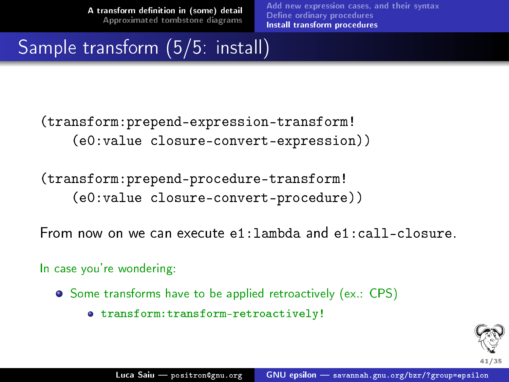[Add new expression cases, and their syntax](#page-43-1) Define ordinary procedures [Install transform procedures](#page-47-0)

### Sample transform (5/5: install)

(transform:prepend-expression-transform! (e0:value closure-convert-expression))

(transform:prepend-procedure-transform! (e0:value closure-convert-procedure))

From now on we can execute e1:lambda and e1:call-closure. .

In case you're wondering:

- **•** Some transforms have to be applied retroactively (ex.: CPS)
	- transform:transform-retroactively!

<span id="page-47-0"></span>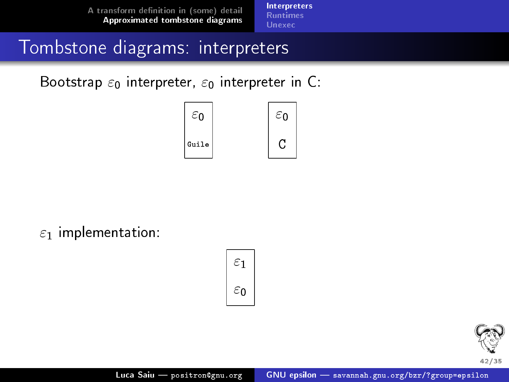[Interpreters](#page-48-0) [Runtimes](#page-49-0) [Unexec](#page-50-0)

#### Tombstone diagrams: interpreters

Bootstrap  $\varepsilon_0$  interpreter,  $\varepsilon_0$  interpreter in C:



 $\varepsilon_1$  implementation:

$$
\begin{array}{|c|}\n\varepsilon_1 \\
\varepsilon_0\n\end{array}
$$

<span id="page-48-0"></span>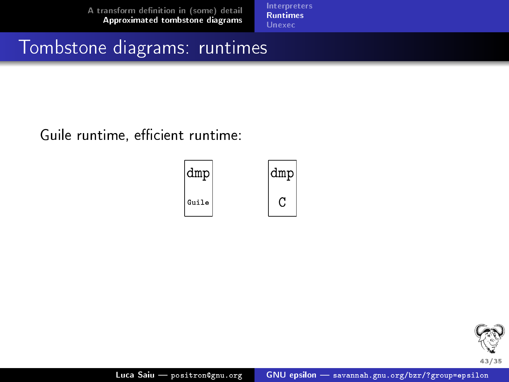[Runtimes](#page-49-0) [Unexec](#page-50-0)

#### Tombstone diagrams: runtimes

Guile runtime, efficient runtime:



<span id="page-49-0"></span>